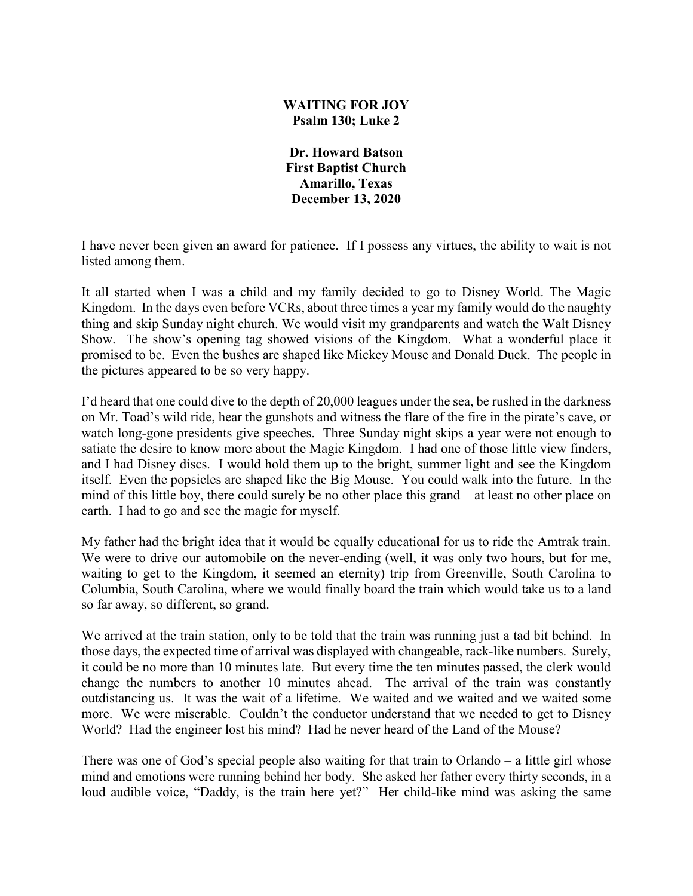## **WAITING FOR JOY Psalm 130; Luke 2**

**Dr. Howard Batson First Baptist Church Amarillo, Texas December 13, 2020**

I have never been given an award for patience. If I possess any virtues, the ability to wait is not listed among them.

It all started when I was a child and my family decided to go to Disney World. The Magic Kingdom. In the days even before VCRs, about three times a year my family would do the naughty thing and skip Sunday night church. We would visit my grandparents and watch the Walt Disney Show. The show's opening tag showed visions of the Kingdom. What a wonderful place it promised to be. Even the bushes are shaped like Mickey Mouse and Donald Duck. The people in the pictures appeared to be so very happy.

I'd heard that one could dive to the depth of 20,000 leagues under the sea, be rushed in the darkness on Mr. Toad's wild ride, hear the gunshots and witness the flare of the fire in the pirate's cave, or watch long-gone presidents give speeches. Three Sunday night skips a year were not enough to satiate the desire to know more about the Magic Kingdom. I had one of those little view finders, and I had Disney discs. I would hold them up to the bright, summer light and see the Kingdom itself. Even the popsicles are shaped like the Big Mouse. You could walk into the future. In the mind of this little boy, there could surely be no other place this grand – at least no other place on earth. I had to go and see the magic for myself.

My father had the bright idea that it would be equally educational for us to ride the Amtrak train. We were to drive our automobile on the never-ending (well, it was only two hours, but for me, waiting to get to the Kingdom, it seemed an eternity) trip from Greenville, South Carolina to Columbia, South Carolina, where we would finally board the train which would take us to a land so far away, so different, so grand.

We arrived at the train station, only to be told that the train was running just a tad bit behind. In those days, the expected time of arrival was displayed with changeable, rack-like numbers. Surely, it could be no more than 10 minutes late. But every time the ten minutes passed, the clerk would change the numbers to another 10 minutes ahead. The arrival of the train was constantly outdistancing us. It was the wait of a lifetime. We waited and we waited and we waited some more. We were miserable. Couldn't the conductor understand that we needed to get to Disney World? Had the engineer lost his mind? Had he never heard of the Land of the Mouse?

There was one of God's special people also waiting for that train to Orlando – a little girl whose mind and emotions were running behind her body. She asked her father every thirty seconds, in a loud audible voice, "Daddy, is the train here yet?" Her child-like mind was asking the same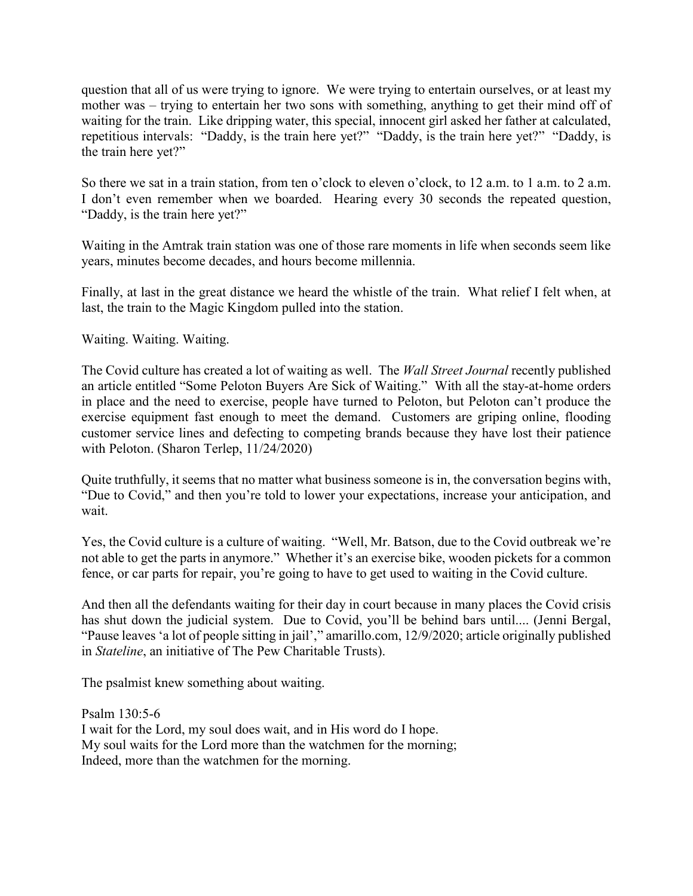question that all of us were trying to ignore. We were trying to entertain ourselves, or at least my mother was – trying to entertain her two sons with something, anything to get their mind off of waiting for the train. Like dripping water, this special, innocent girl asked her father at calculated, repetitious intervals: "Daddy, is the train here yet?" "Daddy, is the train here yet?" "Daddy, is the train here yet?"

So there we sat in a train station, from ten o'clock to eleven o'clock, to 12 a.m. to 1 a.m. to 2 a.m. I don't even remember when we boarded. Hearing every 30 seconds the repeated question, "Daddy, is the train here yet?"

Waiting in the Amtrak train station was one of those rare moments in life when seconds seem like years, minutes become decades, and hours become millennia.

Finally, at last in the great distance we heard the whistle of the train. What relief I felt when, at last, the train to the Magic Kingdom pulled into the station.

Waiting. Waiting. Waiting.

The Covid culture has created a lot of waiting as well. The *Wall Street Journal* recently published an article entitled "Some Peloton Buyers Are Sick of Waiting." With all the stay-at-home orders in place and the need to exercise, people have turned to Peloton, but Peloton can't produce the exercise equipment fast enough to meet the demand. Customers are griping online, flooding customer service lines and defecting to competing brands because they have lost their patience with Peloton. (Sharon Terlep, 11/24/2020)

Quite truthfully, it seems that no matter what business someone is in, the conversation begins with, "Due to Covid," and then you're told to lower your expectations, increase your anticipation, and wait.

Yes, the Covid culture is a culture of waiting. "Well, Mr. Batson, due to the Covid outbreak we're not able to get the parts in anymore." Whether it's an exercise bike, wooden pickets for a common fence, or car parts for repair, you're going to have to get used to waiting in the Covid culture.

And then all the defendants waiting for their day in court because in many places the Covid crisis has shut down the judicial system. Due to Covid, you'll be behind bars until.... (Jenni Bergal, "Pause leaves 'a lot of people sitting in jail'," amarillo.com, 12/9/2020; article originally published in *Stateline*, an initiative of The Pew Charitable Trusts).

The psalmist knew something about waiting.

Psalm 130:5-6 I wait for the Lord, my soul does wait, and in His word do I hope. My soul waits for the Lord more than the watchmen for the morning; Indeed, more than the watchmen for the morning.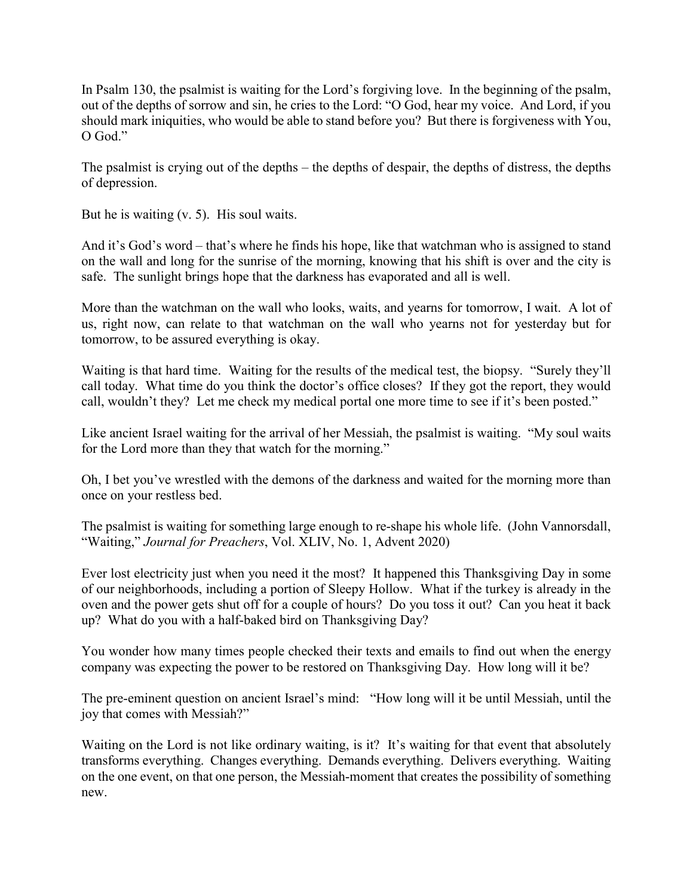In Psalm 130, the psalmist is waiting for the Lord's forgiving love. In the beginning of the psalm, out of the depths of sorrow and sin, he cries to the Lord: "O God, hear my voice. And Lord, if you should mark iniquities, who would be able to stand before you? But there is forgiveness with You, O God."

The psalmist is crying out of the depths – the depths of despair, the depths of distress, the depths of depression.

But he is waiting (v. 5). His soul waits.

And it's God's word – that's where he finds his hope, like that watchman who is assigned to stand on the wall and long for the sunrise of the morning, knowing that his shift is over and the city is safe. The sunlight brings hope that the darkness has evaporated and all is well.

More than the watchman on the wall who looks, waits, and yearns for tomorrow, I wait. A lot of us, right now, can relate to that watchman on the wall who yearns not for yesterday but for tomorrow, to be assured everything is okay.

Waiting is that hard time. Waiting for the results of the medical test, the biopsy. "Surely they'll call today. What time do you think the doctor's office closes? If they got the report, they would call, wouldn't they? Let me check my medical portal one more time to see if it's been posted."

Like ancient Israel waiting for the arrival of her Messiah, the psalmist is waiting. "My soul waits for the Lord more than they that watch for the morning."

Oh, I bet you've wrestled with the demons of the darkness and waited for the morning more than once on your restless bed.

The psalmist is waiting for something large enough to re-shape his whole life. (John Vannorsdall, "Waiting," *Journal for Preachers*, Vol. XLIV, No. 1, Advent 2020)

Ever lost electricity just when you need it the most? It happened this Thanksgiving Day in some of our neighborhoods, including a portion of Sleepy Hollow. What if the turkey is already in the oven and the power gets shut off for a couple of hours? Do you toss it out? Can you heat it back up? What do you with a half-baked bird on Thanksgiving Day?

You wonder how many times people checked their texts and emails to find out when the energy company was expecting the power to be restored on Thanksgiving Day. How long will it be?

The pre-eminent question on ancient Israel's mind: "How long will it be until Messiah, until the joy that comes with Messiah?"

Waiting on the Lord is not like ordinary waiting, is it? It's waiting for that event that absolutely transforms everything. Changes everything. Demands everything. Delivers everything. Waiting on the one event, on that one person, the Messiah-moment that creates the possibility of something new.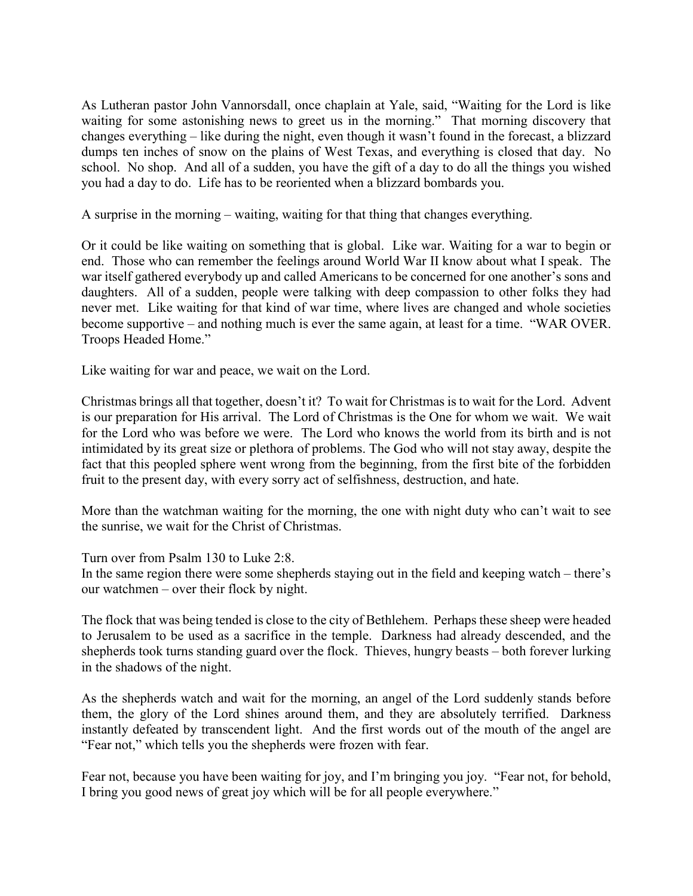As Lutheran pastor John Vannorsdall, once chaplain at Yale, said, "Waiting for the Lord is like waiting for some astonishing news to greet us in the morning." That morning discovery that changes everything – like during the night, even though it wasn't found in the forecast, a blizzard dumps ten inches of snow on the plains of West Texas, and everything is closed that day. No school. No shop. And all of a sudden, you have the gift of a day to do all the things you wished you had a day to do. Life has to be reoriented when a blizzard bombards you.

A surprise in the morning – waiting, waiting for that thing that changes everything.

Or it could be like waiting on something that is global. Like war. Waiting for a war to begin or end. Those who can remember the feelings around World War II know about what I speak. The war itself gathered everybody up and called Americans to be concerned for one another's sons and daughters. All of a sudden, people were talking with deep compassion to other folks they had never met. Like waiting for that kind of war time, where lives are changed and whole societies become supportive – and nothing much is ever the same again, at least for a time. "WAR OVER. Troops Headed Home."

Like waiting for war and peace, we wait on the Lord.

Christmas brings all that together, doesn't it? To wait for Christmas is to wait for the Lord. Advent is our preparation for His arrival. The Lord of Christmas is the One for whom we wait. We wait for the Lord who was before we were. The Lord who knows the world from its birth and is not intimidated by its great size or plethora of problems. The God who will not stay away, despite the fact that this peopled sphere went wrong from the beginning, from the first bite of the forbidden fruit to the present day, with every sorry act of selfishness, destruction, and hate.

More than the watchman waiting for the morning, the one with night duty who can't wait to see the sunrise, we wait for the Christ of Christmas.

Turn over from Psalm 130 to Luke 2:8.

In the same region there were some shepherds staying out in the field and keeping watch – there's our watchmen – over their flock by night.

The flock that was being tended is close to the city of Bethlehem. Perhaps these sheep were headed to Jerusalem to be used as a sacrifice in the temple. Darkness had already descended, and the shepherds took turns standing guard over the flock. Thieves, hungry beasts – both forever lurking in the shadows of the night.

As the shepherds watch and wait for the morning, an angel of the Lord suddenly stands before them, the glory of the Lord shines around them, and they are absolutely terrified. Darkness instantly defeated by transcendent light. And the first words out of the mouth of the angel are "Fear not," which tells you the shepherds were frozen with fear.

Fear not, because you have been waiting for joy, and I'm bringing you joy. "Fear not, for behold, I bring you good news of great joy which will be for all people everywhere."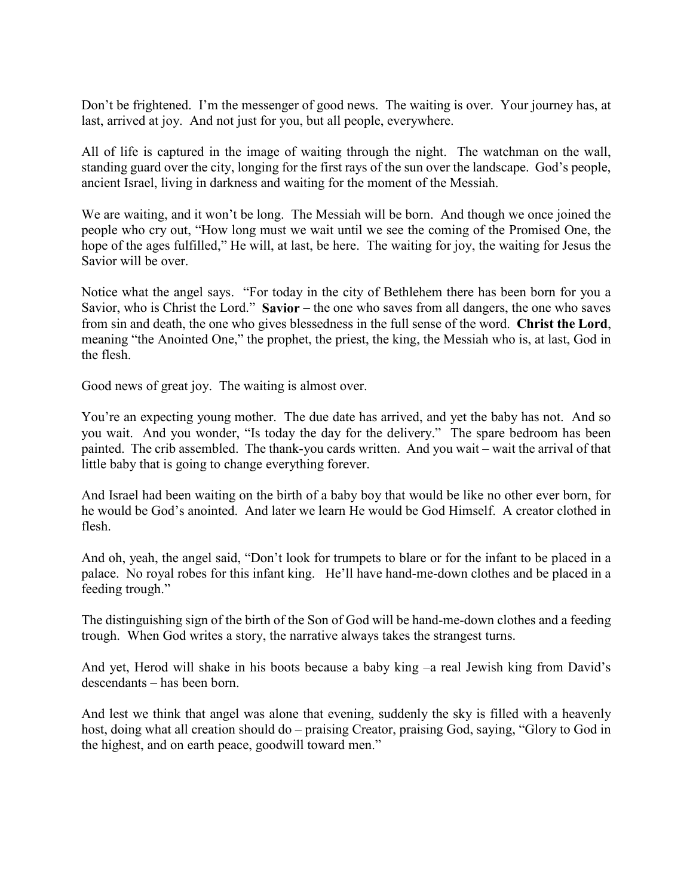Don't be frightened. I'm the messenger of good news. The waiting is over. Your journey has, at last, arrived at joy. And not just for you, but all people, everywhere.

All of life is captured in the image of waiting through the night. The watchman on the wall, standing guard over the city, longing for the first rays of the sun over the landscape. God's people, ancient Israel, living in darkness and waiting for the moment of the Messiah.

We are waiting, and it won't be long. The Messiah will be born. And though we once joined the people who cry out, "How long must we wait until we see the coming of the Promised One, the hope of the ages fulfilled," He will, at last, be here. The waiting for joy, the waiting for Jesus the Savior will be over.

Notice what the angel says. "For today in the city of Bethlehem there has been born for you a Savior, who is Christ the Lord." **Savior** – the one who saves from all dangers, the one who saves from sin and death, the one who gives blessedness in the full sense of the word. **Christ the Lord**, meaning "the Anointed One," the prophet, the priest, the king, the Messiah who is, at last, God in the flesh.

Good news of great joy. The waiting is almost over.

You're an expecting young mother. The due date has arrived, and yet the baby has not. And so you wait. And you wonder, "Is today the day for the delivery." The spare bedroom has been painted. The crib assembled. The thank-you cards written. And you wait – wait the arrival of that little baby that is going to change everything forever.

And Israel had been waiting on the birth of a baby boy that would be like no other ever born, for he would be God's anointed. And later we learn He would be God Himself. A creator clothed in flesh.

And oh, yeah, the angel said, "Don't look for trumpets to blare or for the infant to be placed in a palace. No royal robes for this infant king. He'll have hand-me-down clothes and be placed in a feeding trough."

The distinguishing sign of the birth of the Son of God will be hand-me-down clothes and a feeding trough. When God writes a story, the narrative always takes the strangest turns.

And yet, Herod will shake in his boots because a baby king –a real Jewish king from David's descendants – has been born.

And lest we think that angel was alone that evening, suddenly the sky is filled with a heavenly host, doing what all creation should do – praising Creator, praising God, saying, "Glory to God in the highest, and on earth peace, goodwill toward men."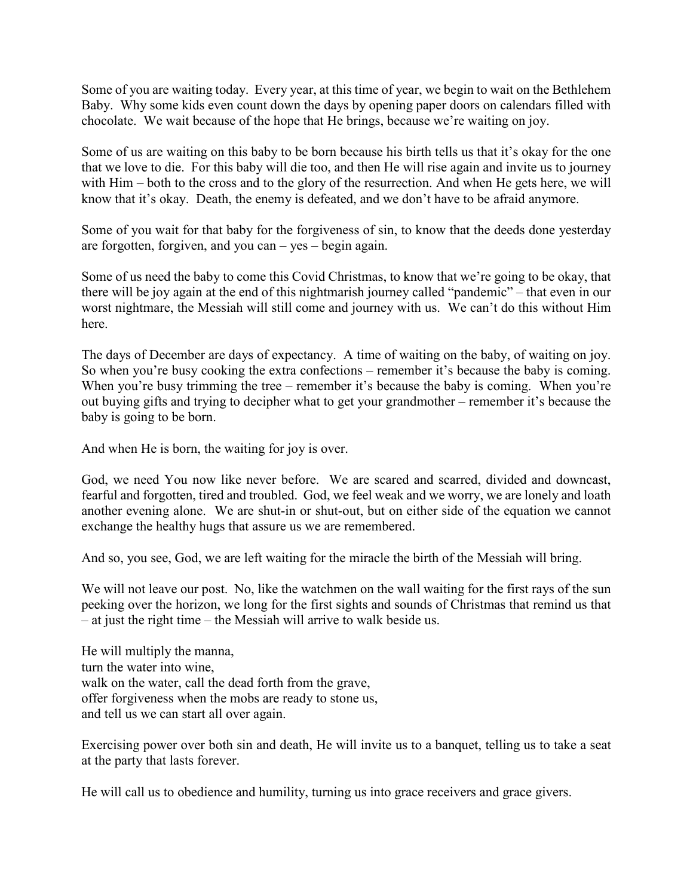Some of you are waiting today. Every year, at this time of year, we begin to wait on the Bethlehem Baby. Why some kids even count down the days by opening paper doors on calendars filled with chocolate. We wait because of the hope that He brings, because we're waiting on joy.

Some of us are waiting on this baby to be born because his birth tells us that it's okay for the one that we love to die. For this baby will die too, and then He will rise again and invite us to journey with Him – both to the cross and to the glory of the resurrection. And when He gets here, we will know that it's okay. Death, the enemy is defeated, and we don't have to be afraid anymore.

Some of you wait for that baby for the forgiveness of sin, to know that the deeds done yesterday are forgotten, forgiven, and you can – yes – begin again.

Some of us need the baby to come this Covid Christmas, to know that we're going to be okay, that there will be joy again at the end of this nightmarish journey called "pandemic" – that even in our worst nightmare, the Messiah will still come and journey with us. We can't do this without Him here.

The days of December are days of expectancy. A time of waiting on the baby, of waiting on joy. So when you're busy cooking the extra confections – remember it's because the baby is coming. When you're busy trimming the tree – remember it's because the baby is coming. When you're out buying gifts and trying to decipher what to get your grandmother – remember it's because the baby is going to be born.

And when He is born, the waiting for joy is over.

God, we need You now like never before. We are scared and scarred, divided and downcast, fearful and forgotten, tired and troubled. God, we feel weak and we worry, we are lonely and loath another evening alone. We are shut-in or shut-out, but on either side of the equation we cannot exchange the healthy hugs that assure us we are remembered.

And so, you see, God, we are left waiting for the miracle the birth of the Messiah will bring.

We will not leave our post. No, like the watchmen on the wall waiting for the first rays of the sun peeking over the horizon, we long for the first sights and sounds of Christmas that remind us that – at just the right time – the Messiah will arrive to walk beside us.

He will multiply the manna, turn the water into wine, walk on the water, call the dead forth from the grave, offer forgiveness when the mobs are ready to stone us, and tell us we can start all over again.

Exercising power over both sin and death, He will invite us to a banquet, telling us to take a seat at the party that lasts forever.

He will call us to obedience and humility, turning us into grace receivers and grace givers.